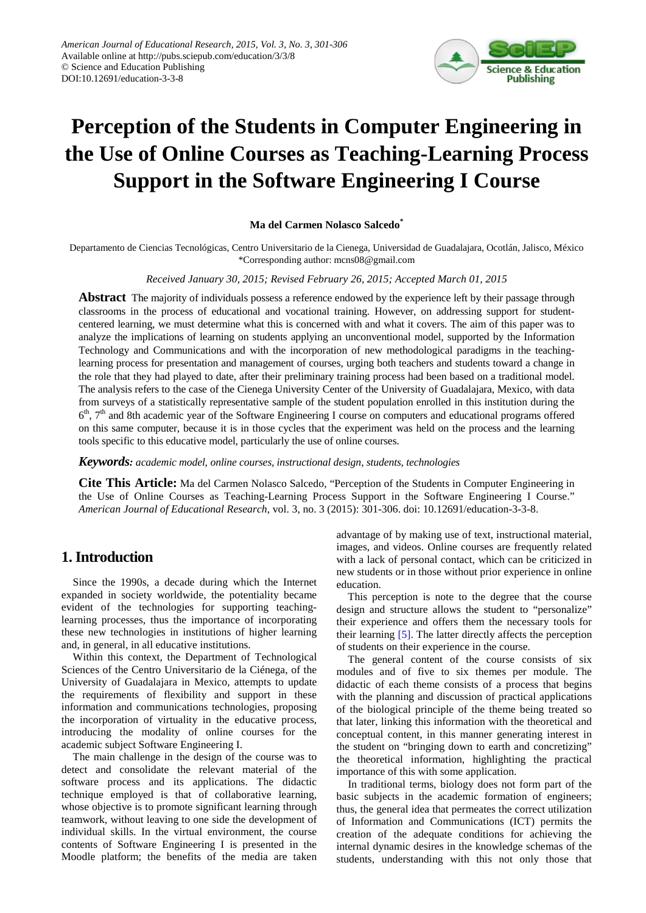

# **Perception of the Students in Computer Engineering in the Use of Online Courses as Teaching-Learning Process Support in the Software Engineering I Course**

#### **Ma del Carmen Nolasco Salcedo\***

Departamento de Ciencias Tecnológicas, Centro Universitario de la Cienega, Universidad de Guadalajara, Ocotlán, Jalisco, México \*Corresponding author: mcns08@gmail.com

#### *Received January 30, 2015; Revised February 26, 2015; Accepted March 01, 2015*

**Abstract** The majority of individuals possess a reference endowed by the experience left by their passage through classrooms in the process of educational and vocational training. However, on addressing support for studentcentered learning, we must determine what this is concerned with and what it covers. The aim of this paper was to analyze the implications of learning on students applying an unconventional model, supported by the Information Technology and Communications and with the incorporation of new methodological paradigms in the teachinglearning process for presentation and management of courses, urging both teachers and students toward a change in the role that they had played to date, after their preliminary training process had been based on a traditional model. The analysis refers to the case of the Cienega University Center of the University of Guadalajara, Mexico, with data from surveys of a statistically representative sample of the student population enrolled in this institution during the  $6<sup>th</sup>$ ,  $7<sup>th</sup>$  and 8th academic year of the Software Engineering I course on computers and educational programs offered on this same computer, because it is in those cycles that the experiment was held on the process and the learning tools specific to this educative model, particularly the use of online courses.

*Keywords: academic model, online courses, instructional design, students, technologies*

**Cite This Article:** Ma del Carmen Nolasco Salcedo, "Perception of the Students in Computer Engineering in the Use of Online Courses as Teaching-Learning Process Support in the Software Engineering I Course." *American Journal of Educational Research*, vol. 3, no. 3 (2015): 301-306. doi: 10.12691/education-3-3-8.

# **1. Introduction**

Since the 1990s, a decade during which the Internet expanded in society worldwide, the potentiality became evident of the technologies for supporting teachinglearning processes, thus the importance of incorporating these new technologies in institutions of higher learning and, in general, in all educative institutions.

Within this context, the Department of Technological Sciences of the Centro Universitario de la Ciénega, of the University of Guadalajara in Mexico, attempts to update the requirements of flexibility and support in these information and communications technologies, proposing the incorporation of virtuality in the educative process, introducing the modality of online courses for the academic subject Software Engineering I.

The main challenge in the design of the course was to detect and consolidate the relevant material of the software process and its applications. The didactic technique employed is that of collaborative learning, whose objective is to promote significant learning through teamwork, without leaving to one side the development of individual skills. In the virtual environment, the course contents of Software Engineering I is presented in the Moodle platform; the benefits of the media are taken

advantage of by making use of text, instructional material, images, and videos. Online courses are frequently related with a lack of personal contact, which can be criticized in new students or in those without prior experience in online education.

This perception is note to the degree that the course design and structure allows the student to "personalize" their experience and offers them the necessary tools for their learning [\[5\].](#page-5-0) The latter directly affects the perception of students on their experience in the course.

The general content of the course consists of six modules and of five to six themes per module. The didactic of each theme consists of a process that begins with the planning and discussion of practical applications of the biological principle of the theme being treated so that later, linking this information with the theoretical and conceptual content, in this manner generating interest in the student on "bringing down to earth and concretizing" the theoretical information, highlighting the practical importance of this with some application.

In traditional terms, biology does not form part of the basic subjects in the academic formation of engineers; thus, the general idea that permeates the correct utilization of Information and Communications (ICT) permits the creation of the adequate conditions for achieving the internal dynamic desires in the knowledge schemas of the students, understanding with this not only those that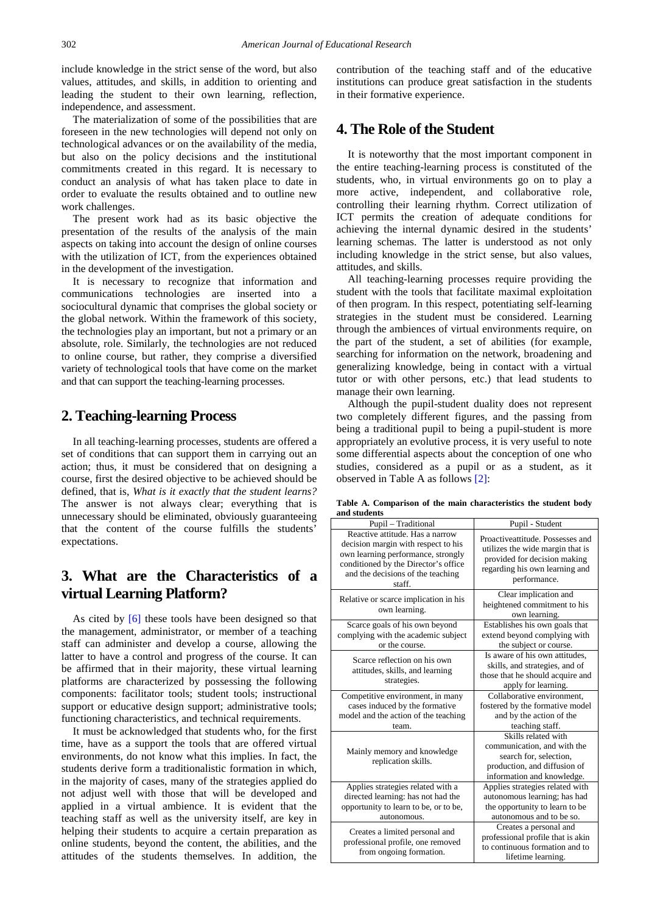include knowledge in the strict sense of the word, but also values, attitudes, and skills, in addition to orienting and leading the student to their own learning, reflection, independence, and assessment.

The materialization of some of the possibilities that are foreseen in the new technologies will depend not only on technological advances or on the availability of the media, but also on the policy decisions and the institutional commitments created in this regard. It is necessary to conduct an analysis of what has taken place to date in order to evaluate the results obtained and to outline new work challenges.

The present work had as its basic objective the presentation of the results of the analysis of the main aspects on taking into account the design of online courses with the utilization of ICT, from the experiences obtained in the development of the investigation.

It is necessary to recognize that information and communications technologies are inserted into a sociocultural dynamic that comprises the global society or the global network. Within the framework of this society, the technologies play an important, but not a primary or an absolute, role. Similarly, the technologies are not reduced to online course, but rather, they comprise a diversified variety of technological tools that have come on the market and that can support the teaching-learning processes.

#### **2. Teaching-learning Process**

In all teaching-learning processes, students are offered a set of conditions that can support them in carrying out an action; thus, it must be considered that on designing a course, first the desired objective to be achieved should be defined, that is, *What is it exactly that the student learns?* The answer is not always clear; everything that is unnecessary should be eliminated, obviously guaranteeing that the content of the course fulfills the students' expectations.

# **3. What are the Characteristics of a virtual Learning Platform?**

As cited by [\[6\]](#page-5-1) these tools have been designed so that the management, administrator, or member of a teaching staff can administer and develop a course, allowing the latter to have a control and progress of the course. It can be affirmed that in their majority, these virtual learning platforms are characterized by possessing the following components: facilitator tools; student tools; instructional support or educative design support; administrative tools; functioning characteristics, and technical requirements.

It must be acknowledged that students who, for the first time, have as a support the tools that are offered virtual environments, do not know what this implies. In fact, the students derive form a traditionalistic formation in which, in the majority of cases, many of the strategies applied do not adjust well with those that will be developed and applied in a virtual ambience. It is evident that the teaching staff as well as the university itself, are key in helping their students to acquire a certain preparation as online students, beyond the content, the abilities, and the attitudes of the students themselves. In addition, the

contribution of the teaching staff and of the educative institutions can produce great satisfaction in the students in their formative experience.

## **4. The Role of the Student**

It is noteworthy that the most important component in the entire teaching-learning process is constituted of the students, who, in virtual environments go on to play a more active, independent, and collaborative role, controlling their learning rhythm. Correct utilization of ICT permits the creation of adequate conditions for achieving the internal dynamic desired in the students' learning schemas. The latter is understood as not only including knowledge in the strict sense, but also values, attitudes, and skills.

All teaching-learning processes require providing the student with the tools that facilitate maximal exploitation of then program. In this respect, potentiating self-learning strategies in the student must be considered. Learning through the ambiences of virtual environments require, on the part of the student, a set of abilities (for example, searching for information on the network, broadening and generalizing knowledge, being in contact with a virtual tutor or with other persons, etc.) that lead students to manage their own learning.

Although the pupil-student duality does not represent two completely different figures, and the passing from being a traditional pupil to being a pupil-student is more appropriately an evolutive process, it is very useful to note some differential aspects about the conception of one who studies, considered as a pupil or as a student, as it observed in Table A as follows [\[2\]:](#page-5-2)

| Pupil - Traditional                                                                                                                                                                                 | Pupil - Student                                                                                                                                        |  |  |
|-----------------------------------------------------------------------------------------------------------------------------------------------------------------------------------------------------|--------------------------------------------------------------------------------------------------------------------------------------------------------|--|--|
| Reactive attitude. Has a narrow<br>decision margin with respect to his<br>own learning performance, strongly<br>conditioned by the Director's office<br>and the decisions of the teaching<br>staff. | Proactiveattitude. Possesses and<br>utilizes the wide margin that is<br>provided for decision making<br>regarding his own learning and<br>performance. |  |  |
| Relative or scarce implication in his<br>own learning.                                                                                                                                              | Clear implication and<br>heightened commitment to his<br>own learning.                                                                                 |  |  |
| Scarce goals of his own beyond<br>complying with the academic subject<br>or the course.                                                                                                             | Establishes his own goals that<br>extend beyond complying with<br>the subject or course.                                                               |  |  |
| Scarce reflection on his own<br>attitudes, skills, and learning<br>strategies.                                                                                                                      | Is aware of his own attitudes,<br>skills, and strategies, and of<br>those that he should acquire and<br>apply for learning.                            |  |  |
| Competitive environment, in many<br>cases induced by the formative<br>model and the action of the teaching<br>team.                                                                                 | Collaborative environment.<br>fostered by the formative model<br>and by the action of the<br>teaching staff.                                           |  |  |
| Mainly memory and knowledge<br>replication skills.                                                                                                                                                  | Skills related with<br>communication, and with the<br>search for, selection,<br>production, and diffusion of<br>information and knowledge.             |  |  |
| Applies strategies related with a<br>directed learning: has not had the<br>opportunity to learn to be, or to be,<br>autonomous.                                                                     | Applies strategies related with<br>autonomous learning; has had<br>the opportunity to learn to be<br>autonomous and to be so.                          |  |  |
| Creates a limited personal and<br>professional profile, one removed<br>from ongoing formation.                                                                                                      | Creates a personal and<br>professional profile that is akin<br>to continuous formation and to<br>lifetime learning.                                    |  |  |

**Table A. Comparison of the main characteristics the student body and students**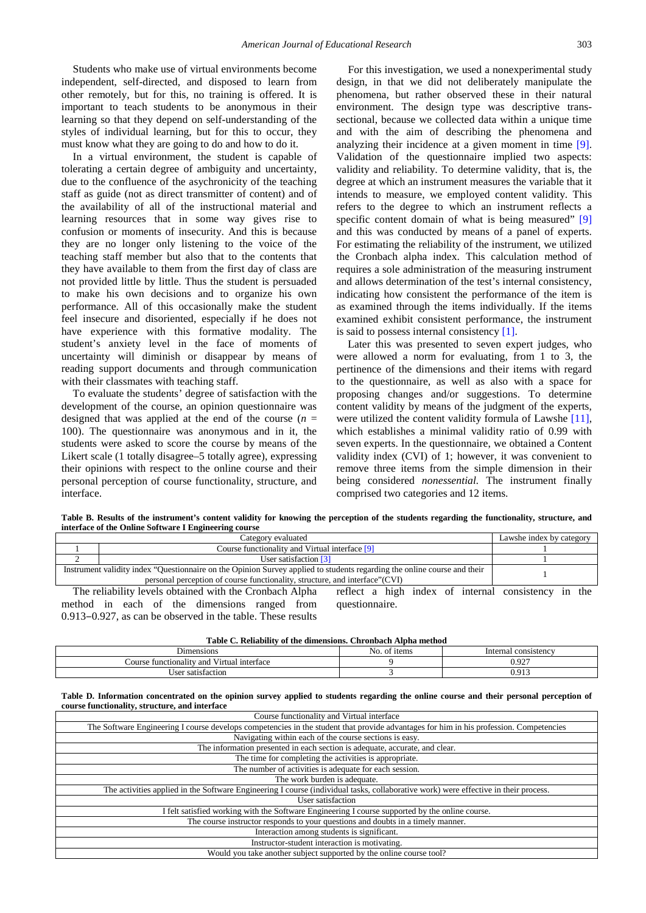Students who make use of virtual environments become independent, self-directed, and disposed to learn from other remotely, but for this, no training is offered. It is important to teach students to be anonymous in their learning so that they depend on self-understanding of the styles of individual learning, but for this to occur, they must know what they are going to do and how to do it.

In a virtual environment, the student is capable of tolerating a certain degree of ambiguity and uncertainty, due to the confluence of the asychronicity of the teaching staff as guide (not as direct transmitter of content) and of the availability of all of the instructional material and learning resources that in some way gives rise to confusion or moments of insecurity. And this is because they are no longer only listening to the voice of the teaching staff member but also that to the contents that they have available to them from the first day of class are not provided little by little. Thus the student is persuaded to make his own decisions and to organize his own performance. All of this occasionally make the student feel insecure and disoriented, especially if he does not have experience with this formative modality. The student's anxiety level in the face of moments of uncertainty will diminish or disappear by means of reading support documents and through communication with their classmates with teaching staff.

To evaluate the students' degree of satisfaction with the development of the course, an opinion questionnaire was designed that was applied at the end of the course  $(n =$ 100). The questionnaire was anonymous and in it, the students were asked to score the course by means of the Likert scale (1 totally disagree–5 totally agree), expressing their opinions with respect to the online course and their personal perception of course functionality, structure, and interface.

0.913–0.927, as can be observed in the table. These results

For this investigation, we used a nonexperimental study design, in that we did not deliberately manipulate the phenomena, but rather observed these in their natural environment. The design type was descriptive transsectional, because we collected data within a unique time and with the aim of describing the phenomena and analyzing their incidence at a given moment in time [\[9\].](#page-5-3) Validation of the questionnaire implied two aspects: validity and reliability. To determine validity, that is, the degree at which an instrument measures the variable that it intends to measure, we employed content validity. This refers to the degree to which an instrument reflects a specific content domain of what is being measured" [\[9\]](#page-5-3) and this was conducted by means of a panel of experts. For estimating the reliability of the instrument, we utilized the Cronbach alpha index. This calculation method of requires a sole administration of the measuring instrument and allows determination of the test's internal consistency, indicating how consistent the performance of the item is as examined through the items individually. If the items examined exhibit consistent performance, the instrument is said to possess internal consistency [\[1\].](#page-5-4)

Later this was presented to seven expert judges, who were allowed a norm for evaluating, from 1 to 3, the pertinence of the dimensions and their items with regard to the questionnaire, as well as also with a space for proposing changes and/or suggestions. To determine content validity by means of the judgment of the experts, were utilized the content validity formula of Lawshe [\[11\],](#page-5-5) which establishes a minimal validity ratio of 0.99 with seven experts. In the questionnaire, we obtained a Content validity index (CVI) of 1; however, it was convenient to remove three items from the simple dimension in their being considered *nonessential.* The instrument finally comprised two categories and 12 items.

**Table B. Results of the instrument's content validity for knowing the perception of the students regarding the functionality, structure, and interface of the Online Software I Engineering course**

| Category evaluated                                                                                                       |                                                                                                                                                                                  | Lawshe index by category |  |  |
|--------------------------------------------------------------------------------------------------------------------------|----------------------------------------------------------------------------------------------------------------------------------------------------------------------------------|--------------------------|--|--|
| Course functionality and Virtual interface [9]                                                                           |                                                                                                                                                                                  |                          |  |  |
|                                                                                                                          | User satisfaction [3]                                                                                                                                                            |                          |  |  |
| Instrument validity index "Questionnaire on the Opinion Survey applied to students regarding the online course and their |                                                                                                                                                                                  |                          |  |  |
|                                                                                                                          | The reliability levels obtained with the Cronbach Alpha<br>reflect a high index of internal consistency in the<br>method in each of the dimensions ranged from<br>questionnaire. |                          |  |  |

**Table C. Reliability of the dimensions. Chronbach Alpha method** Dimensions No. of items Internal consistency Course functionality and Virtual interface 0.927

| Table D. Information concentrated on the opinion survey applied to students regarding the online course and their personal perception of |  |  |  |  |  |
|------------------------------------------------------------------------------------------------------------------------------------------|--|--|--|--|--|
| course functionality, structure, and interface                                                                                           |  |  |  |  |  |

User satisfaction 3 0.913

| Course functionality and Virtual interface                                                                                             |
|----------------------------------------------------------------------------------------------------------------------------------------|
| The Software Engineering I course develops competencies in the student that provide advantages for him in his profession. Competencies |
| Navigating within each of the course sections is easy.                                                                                 |
| The information presented in each section is adequate, accurate, and clear.                                                            |
| The time for completing the activities is appropriate.                                                                                 |
| The number of activities is adequate for each session.                                                                                 |
| The work burden is adequate.                                                                                                           |
| The activities applied in the Software Engineering I course (individual tasks, collaborative work) were effective in their process.    |
| User satisfaction                                                                                                                      |
| I felt satisfied working with the Software Engineering I course supported by the online course.                                        |
| The course instructor responds to your questions and doubts in a timely manner.                                                        |
| Interaction among students is significant.                                                                                             |
| Instructor-student interaction is motivating.                                                                                          |
| Would you take another subject supported by the online course tool?                                                                    |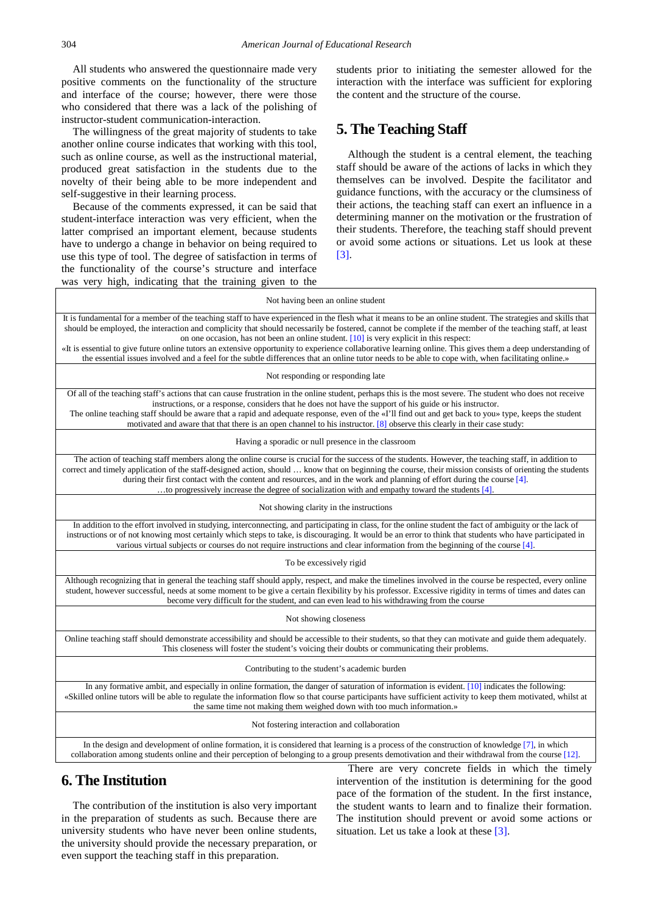All students who answered the questionnaire made very positive comments on the functionality of the structure and interface of the course; however, there were those who considered that there was a lack of the polishing of instructor-student communication-interaction.

The willingness of the great majority of students to take another online course indicates that working with this tool, such as online course, as well as the instructional material, produced great satisfaction in the students due to the novelty of their being able to be more independent and self-suggestive in their learning process.

Because of the comments expressed, it can be said that student-interface interaction was very efficient, when the latter comprised an important element, because students have to undergo a change in behavior on being required to use this type of tool. The degree of satisfaction in terms of the functionality of the course's structure and interface was very high, indicating that the training given to the

students prior to initiating the semester allowed for the interaction with the interface was sufficient for exploring the content and the structure of the course.

## **5. The Teaching Staff**

Although the student is a central element, the teaching staff should be aware of the actions of lacks in which they themselves can be involved. Despite the facilitator and guidance functions, with the accuracy or the clumsiness of their actions, the teaching staff can exert an influence in a determining manner on the motivation or the frustration of their students. Therefore, the teaching staff should prevent or avoid some actions or situations. Let us look at these [\[3\].](#page-5-6)

| Not having been an online student                                                                                                                                                                                                                                                                                                                                                                                                                                                                                                                                                                                                                                                                                                         |
|-------------------------------------------------------------------------------------------------------------------------------------------------------------------------------------------------------------------------------------------------------------------------------------------------------------------------------------------------------------------------------------------------------------------------------------------------------------------------------------------------------------------------------------------------------------------------------------------------------------------------------------------------------------------------------------------------------------------------------------------|
| It is fundamental for a member of the teaching staff to have experienced in the flesh what it means to be an online student. The strategies and skills that<br>should be employed, the interaction and complicity that should necessarily be fostered, cannot be complete if the member of the teaching staff, at least<br>on one occasion, has not been an online student. $[10]$ is very explicit in this respect:<br>«It is essential to give future online tutors an extensive opportunity to experience collaborative learning online. This gives them a deep understanding of<br>the essential issues involved and a feel for the subtle differences that an online tutor needs to be able to cope with, when facilitating online.» |
| Not responding or responding late                                                                                                                                                                                                                                                                                                                                                                                                                                                                                                                                                                                                                                                                                                         |
| Of all of the teaching staff's actions that can cause frustration in the online student, perhaps this is the most severe. The student who does not receive<br>instructions, or a response, considers that he does not have the support of his guide or his instructor.<br>The online teaching staff should be aware that a rapid and adequate response, even of the «I'll find out and get back to you» type, keeps the student<br>motivated and aware that that there is an open channel to his instructor. $[8]$ observe this clearly in their case study:                                                                                                                                                                              |
| Having a sporadic or null presence in the classroom                                                                                                                                                                                                                                                                                                                                                                                                                                                                                                                                                                                                                                                                                       |
| The action of teaching staff members along the online course is crucial for the success of the students. However, the teaching staff, in addition to<br>correct and timely application of the staff-designed action, should  know that on beginning the course, their mission consists of orienting the students<br>during their first contact with the content and resources, and in the work and planning of effort during the course $[4]$ .<br>to progressively increase the degree of socialization with and empathy toward the students [4].                                                                                                                                                                                        |
| Not showing clarity in the instructions                                                                                                                                                                                                                                                                                                                                                                                                                                                                                                                                                                                                                                                                                                   |
| In addition to the effort involved in studying, interconnecting, and participating in class, for the online student the fact of ambiguity or the lack of<br>instructions or of not knowing most certainly which steps to take, is discouraging. It would be an error to think that students who have participated in<br>various virtual subjects or courses do not require instructions and clear information from the beginning of the course [4].                                                                                                                                                                                                                                                                                       |
| To be excessively rigid                                                                                                                                                                                                                                                                                                                                                                                                                                                                                                                                                                                                                                                                                                                   |
| Although recognizing that in general the teaching staff should apply, respect, and make the timelines involved in the course be respected, every online<br>student, however successful, needs at some moment to be give a certain flexibility by his professor. Excessive rigidity in terms of times and dates can<br>become very difficult for the student, and can even lead to his withdrawing from the course                                                                                                                                                                                                                                                                                                                         |
| Not showing closeness                                                                                                                                                                                                                                                                                                                                                                                                                                                                                                                                                                                                                                                                                                                     |
| Online teaching staff should demonstrate accessibility and should be accessible to their students, so that they can motivate and guide them adequately.<br>This closeness will foster the student's voicing their doubts or communicating their problems.                                                                                                                                                                                                                                                                                                                                                                                                                                                                                 |
| Contributing to the student's academic burden                                                                                                                                                                                                                                                                                                                                                                                                                                                                                                                                                                                                                                                                                             |
| In any formative ambit, and especially in online formation, the danger of saturation of information is evident. $[10]$ indicates the following:<br>«Skilled online tutors will be able to regulate the information flow so that course participants have sufficient activity to keep them motivated, whilst at<br>the same time not making them weighed down with too much information.»                                                                                                                                                                                                                                                                                                                                                  |
| Not fostering interaction and collaboration                                                                                                                                                                                                                                                                                                                                                                                                                                                                                                                                                                                                                                                                                               |
| In the design and development of online formation, it is considered that learning is a process of the construction of knowledge [7], in which<br>collaboration among students online and their perception of belonging to a group presents demotivation and their withdrawal from the course [12].                                                                                                                                                                                                                                                                                                                                                                                                                                        |

## **6. The Institution**

The contribution of the institution is also very important in the preparation of students as such. Because there are university students who have never been online students, the university should provide the necessary preparation, or even support the teaching staff in this preparation.

There are very concrete fields in which the timely intervention of the institution is determining for the good pace of the formation of the student. In the first instance, the student wants to learn and to finalize their formation. The institution should prevent or avoid some actions or situation. Let us take a look at these [\[3\].](#page-5-6)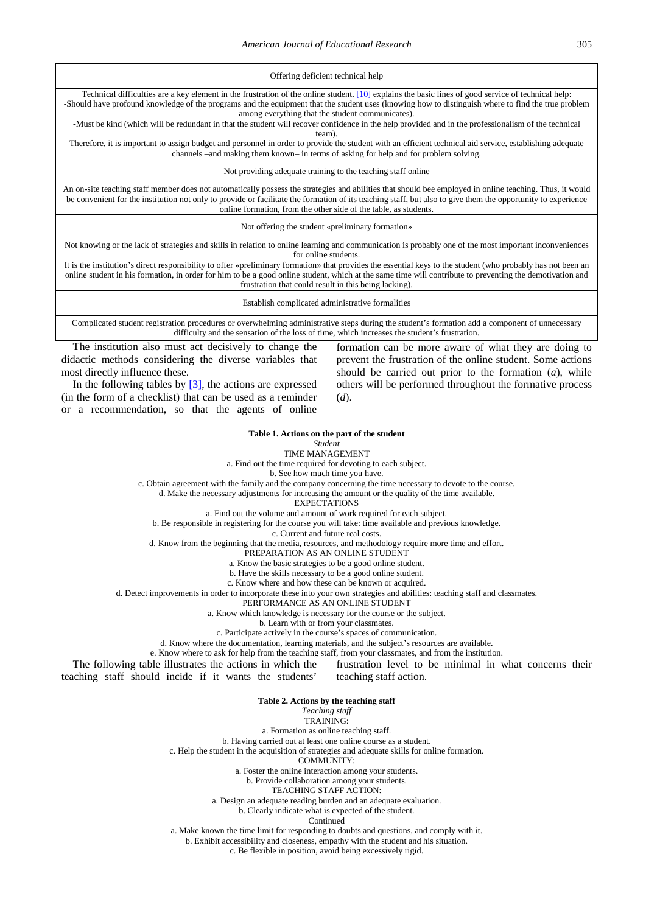Offering deficient technical help

Technical difficulties are a key element in the frustration of the online student. [\[10\]](#page-5-7) explains the basic lines of good service of technical help: -Should have profound knowledge of the programs and the equipment that the student uses (knowing how to distinguish where to find the true problem among everything that the student communicates).

-Must be kind (which will be redundant in that the student will recover confidence in the help provided and in the professionalism of the technical team).

Therefore, it is important to assign budget and personnel in order to provide the student with an efficient technical aid service, establishing adequate channels –and making them known– in terms of asking for help and for problem solving.

Not providing adequate training to the teaching staff online

An on-site teaching staff member does not automatically possess the strategies and abilities that should bee employed in online teaching. Thus, it would be convenient for the institution not only to provide or facilitate the formation of its teaching staff, but also to give them the opportunity to experience online formation, from the other side of the table, as students.

Not offering the student «preliminary formation»

Not knowing or the lack of strategies and skills in relation to online learning and communication is probably one of the most important inconveniences for online students

It is the institution's direct responsibility to offer «preliminary formation» that provides the essential keys to the student (who probably has not been an online student in his formation, in order for him to be a good online student, which at the same time will contribute to preventing the demotivation and frustration that could result in this being lacking).

Establish complicated administrative formalities

Complicated student registration procedures or overwhelming administrative steps during the student's formation add a component of unnecessary difficulty and the sensation of the loss of time, which increases the student's frustration.

The institution also must act decisively to change the didactic methods considering the diverse variables that most directly influence these.

In the following tables by  $[3]$ , the actions are expressed (in the form of a checklist) that can be used as a reminder or a recommendation, so that the agents of online

formation can be more aware of what they are doing to prevent the frustration of the online student. Some actions should be carried out prior to the formation (*a*), while others will be performed throughout the formative process (*d*).

#### **Table 1. Actions on the part of the student**

*Student*

TIME MANAGEMENT

a. Find out the time required for devoting to each subject.

b. See how much time you have.

c. Obtain agreement with the family and the company concerning the time necessary to devote to the course.

d. Make the necessary adjustments for increasing the amount or the quality of the time available.

**EXPECTATIONS** 

a. Find out the volume and amount of work required for each subject.

b. Be responsible in registering for the course you will take: time available and previous knowledge.

c. Current and future real costs.

d. Know from the beginning that the media, resources, and methodology require more time and effort.

PREPARATION AS AN ONLINE STUDENT

a. Know the basic strategies to be a good online student.

b. Have the skills necessary to be a good online student.

c. Know where and how these can be known or acquired.

d. Detect improvements in order to incorporate these into your own strategies and abilities: teaching staff and classmates.

PERFORMANCE AS AN ONLINE STUDENT

a. Know which knowledge is necessary for the course or the subject.

b. Learn with or from your classmates.

c. Participate actively in the course's spaces of communication.

d. Know where the documentation, learning materials, and the subject's resources are available.

e. Know where to ask for help from the teaching staff, from your classmates, and from the institution.

The following table illustrates the actions in which the teaching staff should incide if it wants the students' frustration level to be minimal in what concerns their teaching staff action.

#### **Table 2. Actions by the teaching staff**

*Teaching staff*

TRAINING:

a. Formation as online teaching staff.

b. Having carried out at least one online course as a student.

c. Help the student in the acquisition of strategies and adequate skills for online formation.

COMMUNITY:

a. Foster the online interaction among your students.

b. Provide collaboration among your students.

TEACHING STAFF ACTION:

a. Design an adequate reading burden and an adequate evaluation.

b. Clearly indicate what is expected of the student.

Continued

a. Make known the time limit for responding to doubts and questions, and comply with it.

b. Exhibit accessibility and closeness, empathy with the student and his situation.

c. Be flexible in position, avoid being excessively rigid.